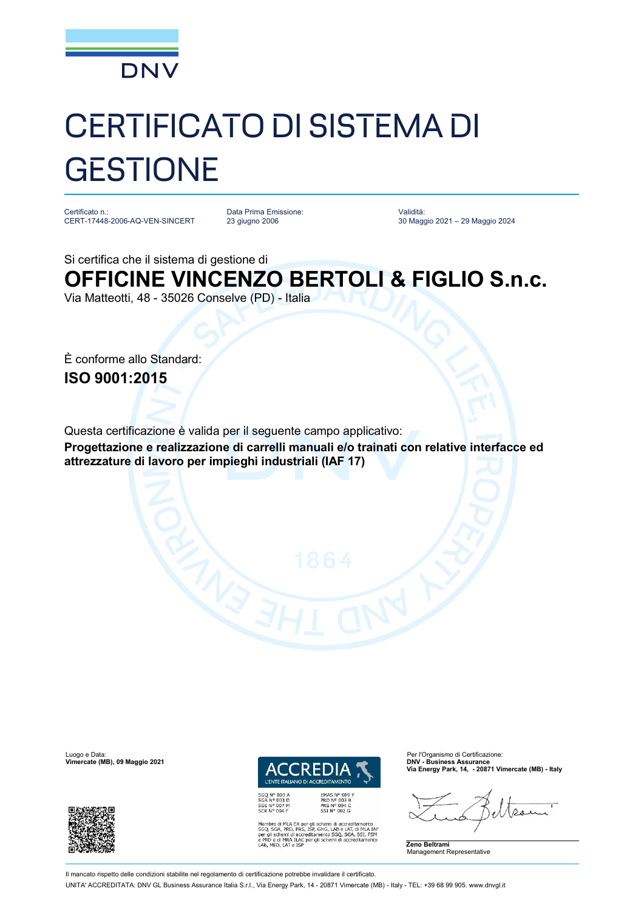

## CERTIFICATO DI SISTEMA DI **GESTIONE**

Certificato n.: CERT-17448-2006-AQ-VEN-SINCERT

Data Prima Emissione: 23 giugno 2006

Validità: 30 Maggio 2021 – 29 Maggio 2024

Si certifica che il sistema di gestione di

**OFFICINE VINCENZO BERTOLI & FIGLIO S.n.c.**

Via Matteotti, 48 - 35026 Conselve (PD) - Italia

È conforme allo Standard: **ISO 9001:2015**

Questa certificazione è valida per il seguente campo applicativo: **Progettazione e realizzazione di carrelli manuali e/o trainati con relative interfacce ed attrezzature di lavoro per impieghi industriali (IAF 17)**





*I'ENTE ITALIANO DI ACC* REDITAMENTO EMAS Nº 009 F EMAS N° 009<br>PRD N° 003 B<br>PRS N° 094 C<br>SSI N° 002 G

Membro di MLA EA per gli schemi di accreditamento<br>SGQ, SGA, PRD, PRS, ISP, GHG, LAB e LAT, di MLA IAF<br>per gli schemi di accreditamento SGQ, SGA, SSI, FSM<br>e PRD e di MRA ILAC per gli schemi di accreditamento<br>LAB, MED, LAT e

**Via Energy Park, 14, - 20871 Vimercate (MB) - Italy**

 $\Omega_{1}$ 

**Zeno Beltrami** Management Representative

Il mancato rispetto delle condizioni stabilite nel regolamento di certificazione potrebbe invalidare il certificato.

UNITA' ACCREDITATA: DNV GL Business Assurance Italia S.r.l., Via Energy Park, 14 - 20871 Vimercate (MB) - Italy - TEL: +39 68 99 905. [www.dnvgl.it](http://www.dnvgl.it)